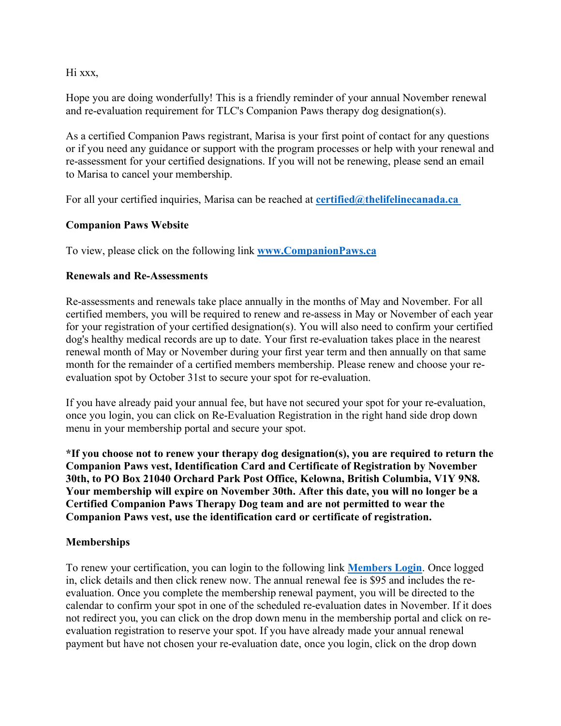Hi xxx,

Hope you are doing wonderfully! This is a friendly reminder of your annual November renewal and re-evaluation requirement for TLC's Companion Paws therapy dog designation(s).

As a certified Companion Paws registrant, Marisa is your first point of contact for any questions or if you need any guidance or support with the program processes or help with your renewal and re-assessment for your certified designations. If you will not be renewing, please send an email to Marisa to cancel your membership.

For all your certified inquiries, Marisa can be reached at **certified@thelifelinecanada.ca**

# **Companion Paws Website**

To view, please click on the following link **www.CompanionPaws.ca**

# **Renewals and Re-Assessments**

Re-assessments and renewals take place annually in the months of May and November. For all certified members, you will be required to renew and re-assess in May or November of each year for your registration of your certified designation(s). You will also need to confirm your certified dog's healthy medical records are up to date. Your first re-evaluation takes place in the nearest renewal month of May or November during your first year term and then annually on that same month for the remainder of a certified members membership. Please renew and choose your reevaluation spot by October 31st to secure your spot for re-evaluation.

If you have already paid your annual fee, but have not secured your spot for your re-evaluation, once you login, you can click on Re-Evaluation Registration in the right hand side drop down menu in your membership portal and secure your spot.

**\*If you choose not to renew your therapy dog designation(s), you are required to return the Companion Paws vest, Identification Card and Certificate of Registration by November 30th, to PO Box 21040 Orchard Park Post Office, Kelowna, British Columbia, V1Y 9N8. Your membership will expire on November 30th. After this date, you will no longer be a Certified Companion Paws Therapy Dog team and are not permitted to wear the Companion Paws vest, use the identification card or certificate of registration.**

## **Memberships**

To renew your certification, you can login to the following link **Members Login**. Once logged in, click details and then click renew now. The annual renewal fee is \$95 and includes the reevaluation. Once you complete the membership renewal payment, you will be directed to the calendar to confirm your spot in one of the scheduled re-evaluation dates in November. If it does not redirect you, you can click on the drop down menu in the membership portal and click on reevaluation registration to reserve your spot. If you have already made your annual renewal payment but have not chosen your re-evaluation date, once you login, click on the drop down